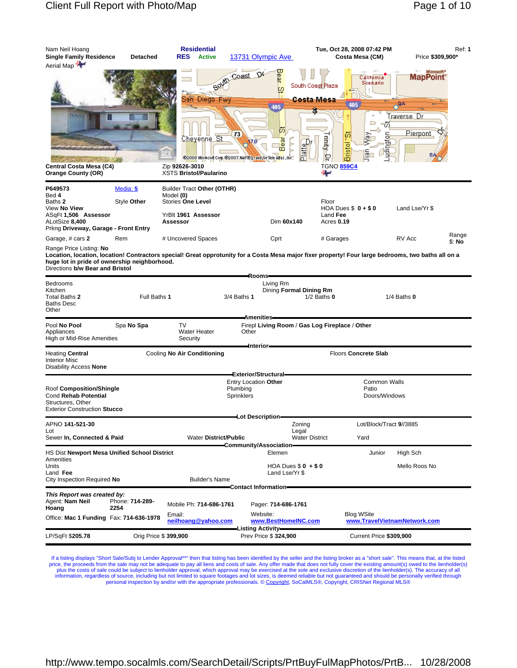| Nam Neil Hoang<br><b>Single Family Residence</b><br>Aerial Map                                                                                                                                                                                                                        | Detached                | <b>Residential</b><br><b>RES</b><br><b>Active</b>                                                                                                      |                                                                               | 13731 Olympic Ave                                                  | Tue, Oct 28, 2008 07:42 PM<br>Costa Mesa (CM)                                                 |                                               | Price \$309,900*                                                                           | Ref: 1          |
|---------------------------------------------------------------------------------------------------------------------------------------------------------------------------------------------------------------------------------------------------------------------------------------|-------------------------|--------------------------------------------------------------------------------------------------------------------------------------------------------|-------------------------------------------------------------------------------|--------------------------------------------------------------------|-----------------------------------------------------------------------------------------------|-----------------------------------------------|--------------------------------------------------------------------------------------------|-----------------|
| Central Costa Mesa (C4)<br><b>Orange County (OR)</b>                                                                                                                                                                                                                                  |                         | Bouth<br>San Diego Fwy<br>Cheyenne St<br>@2008 Microsoft Corp.@2007_NAVTEQ, and /or Tele Adas, Inc.<br>Zip 92626-3010<br><b>XSTS Bristol/Paularino</b> | Coast DY<br>73                                                                | Bear<br>o<br>405<br>历<br>ear<br>۱م <mark>ل</mark> ه<br>m<br>茼<br>n | South Coast Plaza<br><b>Costa Mesa</b><br>ΰō<br><b>Bristol</b><br>Þ<br><b>TGNO 859C4</b><br>₩ | California<br>Scenario<br>m<br>ත<br>G         | Microsoft <sup>*</sup><br>MapPoint <sup>-</sup><br>$\sigma$ 9A<br>Fraverse, Dr<br>Pierpont |                 |
| P649573<br>Bed 4<br>Baths 2<br>View No View<br>ASqFt 1,506 Assessor<br>ALotSize 8,400<br>Prkng Driveway, Garage - Front Entry                                                                                                                                                         | Media: 5<br>Style Other | Builder Tract Other (OTHR)<br>Model (0)<br>Stories One Level<br>YrBlt 1961 Assessor<br>Assessor                                                        |                                                                               | Dim 60x140                                                         | Floor<br>HOA Dues $$0 + $0$<br>Land Fee<br>Acres 0.19                                         |                                               | Land Lse/Yr \$                                                                             |                 |
| Garage, # cars 2<br>Range Price Listing: No<br>Location, location, location! Contractors special! Great opprotunity for a Costa Mesa major fixer property! Four large bedrooms, two baths all on a<br>huge lot in pride of ownership neighborhood.<br>Directions b/w Bear and Bristol | Rem                     | # Uncovered Spaces                                                                                                                                     |                                                                               | Cprt                                                               | # Garages                                                                                     |                                               | RV Acc                                                                                     | Range<br>\$: No |
| <b>Bedrooms</b><br>Kitchen<br>Total Baths 2<br><b>Baths Desc</b><br>Other                                                                                                                                                                                                             | Full Baths 1            |                                                                                                                                                        | Rooms=<br>3/4 Baths 1                                                         | Living Rm<br>Dining Formal Dining Rm                               | $1/2$ Baths $0$                                                                               |                                               | $1/4$ Baths $0$                                                                            |                 |
| Pool No Pool<br>Appliances<br>High or Mid-Rise Amenities                                                                                                                                                                                                                              | Spa No Spa              | <b>TV</b><br><b>Water Heater</b><br>Security                                                                                                           | <b>Amenities</b><br>Other                                                     |                                                                    | Firepl Living Room / Gas Log Fireplace / Other                                                |                                               |                                                                                            |                 |
| <b>Heating Central</b><br><b>Interior Misc</b><br>Disability Access None                                                                                                                                                                                                              |                         | Cooling No Air Conditioning                                                                                                                            | ⊣nterior-                                                                     |                                                                    | Floors Concrete Slab                                                                          |                                               |                                                                                            |                 |
| Roof Composition/Shingle<br>Cond Rehab Potential<br>Structures, Other<br><b>Exterior Construction Stucco</b>                                                                                                                                                                          |                         |                                                                                                                                                        | Exterior/Structural-<br><b>Entry Location Other</b><br>Plumbing<br>Sprinklers |                                                                    |                                                                                               | <b>Common Walls</b><br>Patio<br>Doors/Windows |                                                                                            |                 |
| APNO 141-521-30<br>Lot<br>Sewer In, Connected & Paid                                                                                                                                                                                                                                  |                         | <b>Water District/Public</b>                                                                                                                           | Lot Description=                                                              | Zoning<br>Legal<br><b>Water District</b>                           | Yard                                                                                          | Lot/Block/Tract 9//3885                       |                                                                                            |                 |
| HS Dist Newport Mesa Unified School District<br>Amenities<br>Units<br>Land Fee<br>City Inspection Required No                                                                                                                                                                         |                         | <b>Builder's Name</b>                                                                                                                                  | Community/Association=                                                        | Elemen<br>HOA Dues $$0 + $0$<br>Land Lse/Yr \$                     |                                                                                               | Junior                                        | High Sch<br>Mello Roos No                                                                  |                 |
| This Report was created by:<br>Agent: Nam Neil<br>Hoang<br>Office: Mac 1 Funding Fax: 714-636-1978                                                                                                                                                                                    | Phone: 714-289-<br>2254 | Mobile Ph: 714-686-1761<br>Email:<br>neilhoang@yahoo.com                                                                                               | Contact Information=                                                          | Pager: 714-686-1761<br>Website:<br>www.BestHomeINC.com             | <b>Blog WSite</b>                                                                             |                                               | www.TravelVietnamNetwork.com                                                               |                 |
| LP/SqFt \$205.78                                                                                                                                                                                                                                                                      | Orig Price \$ 399,900   |                                                                                                                                                        | <b>Listing Activity-</b>                                                      | Prev Price \$ 324,900                                              |                                                                                               | Current Price \$309,900                       |                                                                                            |                 |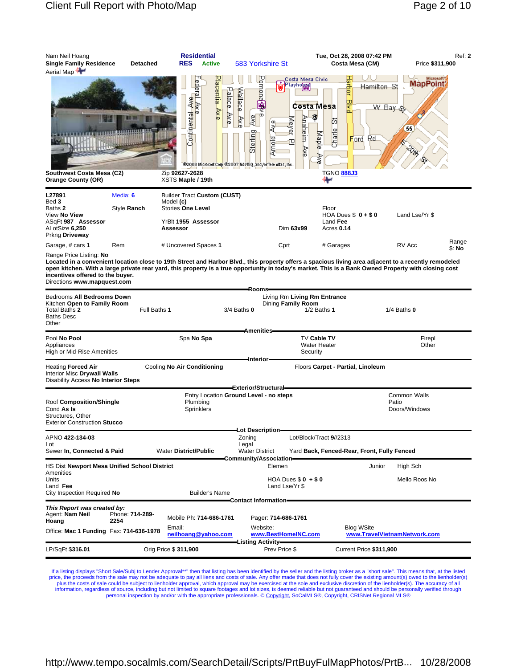| Nam Neil Hoang<br><b>Single Family Residence</b><br>Aerial Map                                                           | <b>Detached</b>         | <b>Residential</b><br><b>RES</b><br><b>Active</b>                                                              | 583 Yorkshire St                                                                                                                                                              | Tue, Oct 28, 2008 07:42 PM<br>Costa Mesa (CM)                                                                                                          | Ref: 2<br>Price \$311,900                                                                                                                                                                                                                                                                                              |
|--------------------------------------------------------------------------------------------------------------------------|-------------------------|----------------------------------------------------------------------------------------------------------------|-------------------------------------------------------------------------------------------------------------------------------------------------------------------------------|--------------------------------------------------------------------------------------------------------------------------------------------------------|------------------------------------------------------------------------------------------------------------------------------------------------------------------------------------------------------------------------------------------------------------------------------------------------------------------------|
| Southwest Costa Mesa (C2)<br><b>Orange County (OR)</b>                                                                   |                         | Placentia Ave<br>Continental Ave<br>Paperal Ave<br>Zip 92627-2628<br>XSTS Maple / 19th                         | <b>Pubua</b><br>Playhouse<br>Palace Ave<br>Wallace<br>œ<br>∦<br>Ave<br>Meyer<br>∛<br>Sterling<br><b>Termin</b><br>@2008 Microsoft Corp @2007 NAVTEQ, and /or Tele Atlas, Inc. | Costa Mesa Civio<br>larbor<br>Hamilton St<br>떃<br>Costa Mesa<br>Ş<br>Anaheim<br>丙<br>Charle<br>Maple<br>Rd<br>Ford<br>Å<br>≹<br><b>TGNO 888J3</b><br>⊶ | Microsoft <sup>®</sup><br><b>MapPoint</b><br>W Bay Q<br>55                                                                                                                                                                                                                                                             |
| L27891<br>Bed 3<br>Baths 2<br>View No View<br>ASqFt 987 Assessor<br>ALotSize 6,250                                       | Media: 6<br>Style Ranch | <b>Builder Tract Custom (CUST)</b><br>Model (c)<br><b>Stories One Level</b><br>YrBlt 1955 Assessor<br>Assessor | Dim 63x99                                                                                                                                                                     | Floor<br>HOA Dues $$0 + $0$<br>Land Fee<br>Acres 0.14                                                                                                  | Land Lse/Yr \$                                                                                                                                                                                                                                                                                                         |
| Prkng Driveway<br>Garage, # cars 1                                                                                       | Rem                     | # Uncovered Spaces 1                                                                                           | Cprt                                                                                                                                                                          | # Garages                                                                                                                                              | Range<br>RV Acc                                                                                                                                                                                                                                                                                                        |
| Range Price Listing: No<br>incentives offered to the buyer.<br>Directions www.mapquest.com<br>Bedrooms All Bedrooms Down |                         |                                                                                                                | -Rooms-                                                                                                                                                                       | Living Rm Living Rm Entrance                                                                                                                           | \$: No<br>Located in a convenient location close to 19th Street and Harbor Blvd., this property offers a spacious living area adjacent to a recently remodeled<br>open kitchen. With a large private rear yard, this property is a true opportunity in today's market. This is a Bank Owned Property with closing cost |
| Kitchen Open to Family Room<br>Total Baths 2<br><b>Baths Desc</b><br>Other                                               | Full Baths 1            |                                                                                                                | Dining Family Room<br>$3/4$ Baths $0$                                                                                                                                         | $1/2$ Baths 1                                                                                                                                          | $1/4$ Baths $0$                                                                                                                                                                                                                                                                                                        |
| Pool No Pool<br>Appliances<br>High or Mid-Rise Amenities                                                                 |                         | Spa No Spa                                                                                                     | <b>Amenities</b><br>-Interior-                                                                                                                                                | TV Cable TV<br><b>Water Heater</b><br>Security                                                                                                         | Firepl<br>Other                                                                                                                                                                                                                                                                                                        |
| <b>Heating Forced Air</b><br><b>Interior Misc Drywall Walls</b><br>Disability Access No Interior Steps                   |                         | Cooling No Air Conditioning                                                                                    | <del>- E</del> xterior/Structural -                                                                                                                                           | Floors Carpet - Partial, Linoleum                                                                                                                      |                                                                                                                                                                                                                                                                                                                        |
| Roof Composition/Shingle<br>Cond As Is<br>Structures, Other<br><b>Exterior Construction Stucco</b>                       |                         | Plumbing<br>Sprinklers                                                                                         | Entry Location Ground Level - no steps                                                                                                                                        |                                                                                                                                                        | <b>Common Walls</b><br>Patio<br>Doors/Windows                                                                                                                                                                                                                                                                          |
| APNO 422-134-03<br>Lot<br>Sewer In, Connected & Paid                                                                     |                         | <b>Water District/Public</b>                                                                                   | Lot Description-<br>Zoning<br>Legal<br><b>Water District</b>                                                                                                                  | Lot/Block/Tract 9//2313<br>Yard Back, Fenced-Rear, Front, Fully Fenced                                                                                 |                                                                                                                                                                                                                                                                                                                        |
| HS Dist Newport Mesa Unified School District<br>Amenities<br>Units<br>Land Fee<br>City Inspection Required No            |                         | <b>Builder's Name</b>                                                                                          | Community/Association=<br>Elemen<br>HOA Dues $$0 + $0$<br>Land Lse/Yr \$                                                                                                      | Junior                                                                                                                                                 | High Sch<br>Mello Roos No                                                                                                                                                                                                                                                                                              |
| This Report was created by:<br>Agent: Nam Neil<br>Hoang<br>Office: Mac 1 Funding Fax: 714-636-1978                       | Phone: 714-289-<br>2254 | Mobile Ph: 714-686-1761<br>Email:<br>neilhoang@yahoo.com                                                       | Contact Information-<br>Pager: 714-686-1761<br>Website:<br>www.BestHomeINC.com                                                                                                | <b>Blog WSite</b>                                                                                                                                      | www.TravelVietnamNetwork.com                                                                                                                                                                                                                                                                                           |
| LP/SqFt \$316.01                                                                                                         |                         | Orig Price \$ 311,900                                                                                          | -Listing Activity-<br>Prev Price \$                                                                                                                                           | Current Price \$311,900                                                                                                                                |                                                                                                                                                                                                                                                                                                                        |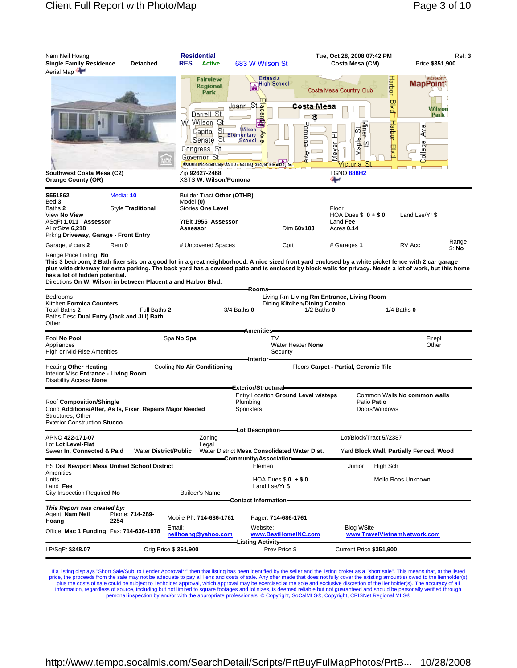| Nam Neil Hoang<br><b>Single Family Residence</b><br>Aerial Map                                                                | <b>Detached</b>                                                        | <b>Residential</b><br><b>RES</b><br><b>Active</b>                                                                                                                                       | 683 W Wilson St                                                                                                                                                                                  | Tue, Oct 28, 2008 07:42 PM<br>Costa Mesa (CM)                                                                                                                                                                                                                                                                                | Ref: 3<br>Price \$351,900                                                                               |
|-------------------------------------------------------------------------------------------------------------------------------|------------------------------------------------------------------------|-----------------------------------------------------------------------------------------------------------------------------------------------------------------------------------------|--------------------------------------------------------------------------------------------------------------------------------------------------------------------------------------------------|------------------------------------------------------------------------------------------------------------------------------------------------------------------------------------------------------------------------------------------------------------------------------------------------------------------------------|---------------------------------------------------------------------------------------------------------|
| Southwest Costa Mesa (C2)<br><b>Orange County (OR)</b>                                                                        |                                                                        | <b>Fairview</b><br><b>Regional</b><br>Park<br>Darrell St<br>VV Wilson<br>-St<br>St<br>Capitol<br>St<br>Senate<br>Congress, St<br>Governor St<br>Zip 92627-2468<br>XSTS W. Wilson/Pomona | Estancia<br><b>High School</b><br>喦<br><mark>Joann St ⊕</mark><br>Enter<br>Wilson <sup>-</sup><br>mentary<br>School p<br>Elementary<br>@2008 Microsoft Corp @2007 NAVTEQ, and for Tele Abast inc | Costa Mesa Country Club<br>Costa Mesa<br>ᅚ<br><b>Alther</b><br>enonna<br>ω<br>և<br>Φ<br>늾<br>. 42<br>Map <sup>1</sup><br>Ney<br>N<br>₽<br>Victoria St<br><b>TGNO 888H2</b>                                                                                                                                                   | <b>Harbor Blvd</b><br><b>MapPoint</b><br>Wilson<br>Park<br>Hadder<br>Φ١<br>∛<br>Φ<br>빻<br><u>allegi</u> |
| S551862<br>Bed 3<br>Baths 2<br>View No View<br>ASqFt 1,011 Assessor<br>ALotSize 6,218<br>Prkng Driveway, Garage - Front Entry | Media: 10<br>Style Traditional                                         | Builder Tract Other (OTHR)<br>Model (0)<br><b>Stories One Level</b><br>YrBlt 1955 Assessor<br>Assessor                                                                                  | Dim 60x103                                                                                                                                                                                       | Floor<br>HOA Dues $$0 + $0$<br>Land Fee<br>Acres 0.14                                                                                                                                                                                                                                                                        | Land Lse/Yr \$                                                                                          |
| Garage, # cars 2<br>Range Price Listing: No<br>has a lot of hidden potential.                                                 | Rem 0<br>Directions On W. Wilson in between Placentia and Harbor Blvd. | # Uncovered Spaces                                                                                                                                                                      | Cprt                                                                                                                                                                                             | # Garages 1<br>This 3 bedroom, 2 Bath fixer sits on a good lot in a great neighborhood. A nice sized front yard enclosed by a white picket fence with 2 car garage<br>plus wide driveway for extra parking. The back yard has a covered patio and is enclosed by block walls for privacy. Needs a lot of work, but this home | Range<br>RV Acc<br>\$: No                                                                               |
| <b>Bedrooms</b><br>Kitchen Formica Counters<br>Total Baths 2<br>Baths Desc Dual Entry (Jack and Jill) Bath<br>Other           | Full Baths 2                                                           |                                                                                                                                                                                         | Rooms-<br>$3/4$ Baths $0$                                                                                                                                                                        | Living Rm Living Rm Entrance, Living Room<br>Dining Kitchen/Dining Combo<br>$1/2$ Baths $0$                                                                                                                                                                                                                                  | $1/4$ Baths $0$                                                                                         |
| Pool No Pool<br>Appliances<br>High or Mid-Rise Amenities                                                                      |                                                                        | Spa No Spa                                                                                                                                                                              | <b>Amenities</b><br>TV<br>Water Heater None<br>Security<br>–Interior–                                                                                                                            |                                                                                                                                                                                                                                                                                                                              | Firepl<br>Other                                                                                         |
| Heating Other Heating<br>Interior Misc Entrance - Living Room<br>Disability Access None                                       |                                                                        | Cooling No Air Conditioning                                                                                                                                                             | Exterior/Structural-                                                                                                                                                                             | Floors Carpet - Partial, Ceramic Tile                                                                                                                                                                                                                                                                                        |                                                                                                         |
| Roof Composition/Shingle<br>Structures, Other<br><b>Exterior Construction Stucco</b>                                          | Cond Additions/Alter, As Is, Fixer, Repairs Major Needed               |                                                                                                                                                                                         | Entry Location Ground Level w/steps<br>Plumbing<br>Sprinklers<br>-Lot Description-                                                                                                               | Patio Patio<br>Doors/Windows                                                                                                                                                                                                                                                                                                 | Common Walls No common walls                                                                            |
| APNO 422-171-07<br>Lot Lot Level-Flat<br>Sewer In, Connected & Paid                                                           | <b>Water District/Public</b>                                           | Zoning<br>Legal                                                                                                                                                                         | Water District Mesa Consolidated Water Dist.<br>Community/Association-                                                                                                                           | Lot/Block/Tract 5//2387                                                                                                                                                                                                                                                                                                      | Yard Block Wall, Partially Fenced, Wood                                                                 |
| Amenities<br>Units<br>Land Fee<br>City Inspection Required No                                                                 | HS Dist Newport Mesa Unified School District                           | <b>Builder's Name</b>                                                                                                                                                                   | Elemen<br>HOA Dues $$0 + $0$<br>Land Lse/Yr \$<br><b>Contact Information-</b>                                                                                                                    | High Sch<br>Junior                                                                                                                                                                                                                                                                                                           | Mello Roos Unknown                                                                                      |
| This Report was created by:<br>Agent: Nam Neil<br>Hoang<br>Office: Mac 1 Funding Fax: 714-636-1978                            | Phone: 714-289-<br>2254<br>Email:                                      | Mobile Ph: 714-686-1761<br>neilhoang@yahoo.com                                                                                                                                          | Pager: 714-686-1761<br>Website:<br>www.BestHomeINC.com                                                                                                                                           | <b>Blog WSite</b>                                                                                                                                                                                                                                                                                                            | www.TravelVietnamNetwork.com                                                                            |
| LP/SqFt \$348.07                                                                                                              | Orig Price \$ 351,900                                                  |                                                                                                                                                                                         | <b>Listing Activity</b><br>Prev Price \$                                                                                                                                                         | Current Price \$351,900                                                                                                                                                                                                                                                                                                      |                                                                                                         |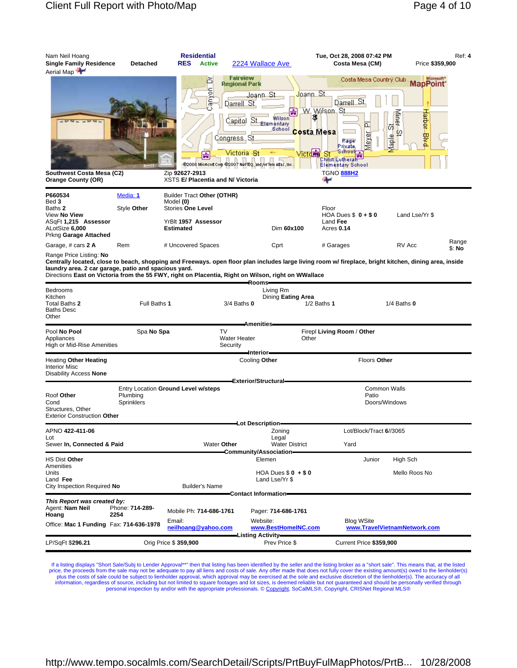| Nam Neil Hoang<br><b>Single Family Residence</b><br>Aerial Map                                     | <b>Detached</b>         | <b>Residential</b><br><b>RES</b><br><b>Active</b>                                                              | 2224 Wallace Ave                                                                                                                                                                                                                       | Tue, Oct 28, 2008 07:42 PM<br>Costa Mesa (CM)                                                                                                                                                                                                             | Ref: 4<br>Price \$359,900                                                                                                                              |
|----------------------------------------------------------------------------------------------------|-------------------------|----------------------------------------------------------------------------------------------------------------|----------------------------------------------------------------------------------------------------------------------------------------------------------------------------------------------------------------------------------------|-----------------------------------------------------------------------------------------------------------------------------------------------------------------------------------------------------------------------------------------------------------|--------------------------------------------------------------------------------------------------------------------------------------------------------|
| Southwest Costa Mesa (C2)<br><b>Orange County (OR)</b>                                             |                         | 占<br>5<br>ğ<br>Zip 92627-2913<br>XSTS E/ Placentia and N/ Victoria                                             | <b>Fairview</b><br><b>Regional Park</b><br>Joann St<br>Darrell St<br>Wilson<br>Sι<br>Capitol<br><b>Elementary</b><br>School<br>Congress St<br>Victoria - <del>S</del> t<br>@2008 Microsoft Corp @2007 NAVTEQ, and /or Tele Atlas, Inc. | Costa Mesa Country Club<br><mark>Joann St</mark><br>Darrell St<br>W. Wilson, St.<br>Ş<br>௳<br>Costa Mesa<br><u>lak</u><br>Page<br>Pr <u>ivate,</u><br>School H<br><b>Victoria</b><br>St<br>Christ Lutherah<br>Elementary School<br><b>TGNO 888H2</b><br>⊷ | Microsoft <sup>*</sup><br>MapPoint <sup>®</sup><br>Harbor Blvd<br>Miner <sub>5t</sub><br>혀<br>Maple                                                    |
| P660534<br>Bed 3<br>Baths 2<br>View <b>No View</b><br>ASqFt 1,215 Assessor<br>ALotSize 6,000       | Media: 1<br>Style Other | Builder Tract Other (OTHR)<br>Model (0)<br><b>Stories One Level</b><br>YrBlt 1957 Assessor<br><b>Estimated</b> | Dim 60x100                                                                                                                                                                                                                             | Floor<br>HOA Dues $$0 + $0$<br>Land Fee<br>Acres 0.14                                                                                                                                                                                                     | Land Lse/Yr \$                                                                                                                                         |
| Prkng Garage Attached<br>Garage, # cars 2 A                                                        | Rem                     | # Uncovered Spaces                                                                                             | Cprt                                                                                                                                                                                                                                   | # Garages                                                                                                                                                                                                                                                 | Range<br>RV Acc<br>\$: No                                                                                                                              |
| Range Price Listing: No<br>laundry area. 2 car garage, patio and spacious yard.                    |                         |                                                                                                                | Directions East on Victoria from the 55 FWY, right on Placentia, Right on Wilson, right on WWallace                                                                                                                                    |                                                                                                                                                                                                                                                           | Centrally located, close to beach, shopping and Freeways. open floor plan includes large living room w/ fireplace, bright kitchen, dining area, inside |
| Bedrooms<br>Kitchen<br>Total Baths 2<br>Baths Desc<br>Other                                        | Full Baths 1            |                                                                                                                | Rooms=<br>Living Rm<br>Dining Eating Area<br>$3/4$ Baths $0$                                                                                                                                                                           | $1/2$ Baths 1                                                                                                                                                                                                                                             | $1/4$ Baths $0$                                                                                                                                        |
| Pool No Pool<br>Appliances<br>High or Mid-Rise Amenities                                           | Spa No Spa              | <b>TV</b><br>Security                                                                                          | <b>Amenities</b><br><b>Water Heater</b>                                                                                                                                                                                                | Firepl Living Room / Other<br>Other                                                                                                                                                                                                                       |                                                                                                                                                        |
| Heating Other Heating<br>Interior Misc<br>Disability Access None                                   |                         |                                                                                                                | ⊫Interior<br>Cooling Other                                                                                                                                                                                                             | Floors Other                                                                                                                                                                                                                                              |                                                                                                                                                        |
| Roof Other<br>Cond<br>Structures, Other<br><b>Exterior Construction Other</b>                      | Plumbing<br>Sprinklers  | Entry Location Ground Level w/steps                                                                            | Exterior/Structural=                                                                                                                                                                                                                   | Patio                                                                                                                                                                                                                                                     | <b>Common Walls</b><br>Doors/Windows                                                                                                                   |
| APNO <b>422-411-06</b>                                                                             |                         |                                                                                                                | Lot Description<br>Zoning                                                                                                                                                                                                              | Lot/Block/Tract 6//3065                                                                                                                                                                                                                                   |                                                                                                                                                        |
| Lot<br>Sewer In, Connected & Paid                                                                  |                         | Water Other                                                                                                    | Legal<br><b>Water District</b>                                                                                                                                                                                                         | Yard                                                                                                                                                                                                                                                      |                                                                                                                                                        |
| HS Dist Other                                                                                      |                         |                                                                                                                | -Community/Association-<br>Elemen                                                                                                                                                                                                      | Junior                                                                                                                                                                                                                                                    | High Sch                                                                                                                                               |
| Amenities<br>Units<br>Land Fee<br>City Inspection Required No                                      |                         | <b>Builder's Name</b>                                                                                          | HOA Dues $$0 + $0$<br>Land Lse/Yr \$                                                                                                                                                                                                   |                                                                                                                                                                                                                                                           | Mello Roos No                                                                                                                                          |
| This Report was created by:<br>Agent: Nam Neil<br>Hoang<br>Office: Mac 1 Funding Fax: 714-636-1978 | Phone: 714-289-<br>2254 | Mobile Ph: 714-686-1761<br>Email:<br>neilhoang@yahoo.com                                                       | Contact Information-<br>Pager: 714-686-1761<br>Website:<br>www.BestHomeINC.com<br>-Listing Activity—                                                                                                                                   | <b>Blog WSite</b>                                                                                                                                                                                                                                         | www.TravelVietnamNetwork.com                                                                                                                           |
| LP/SqFt \$296.21                                                                                   |                         | Orig Price \$ 359,900                                                                                          | Prev Price \$                                                                                                                                                                                                                          | Current Price \$359,900                                                                                                                                                                                                                                   |                                                                                                                                                        |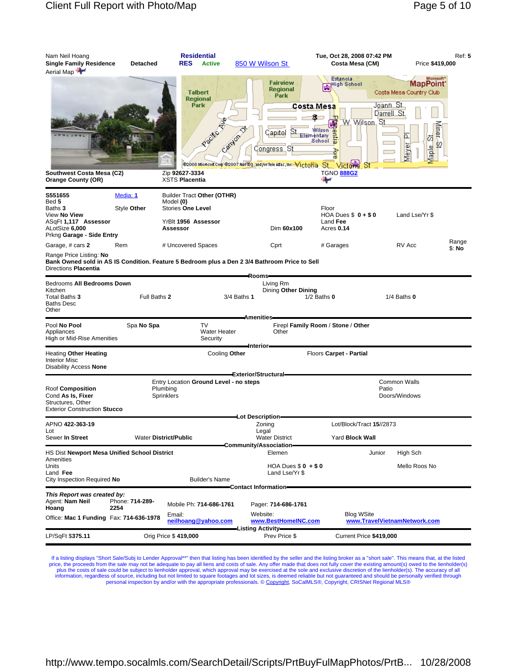| Nam Neil Hoang<br><b>Single Family Residence</b><br>Aerial Map                                    | <b>Detached</b>              | <b>Residential</b><br><b>RES</b><br><b>Active</b>                                    | 850 W Wilson St                                                                                                                                      | Tue, Oct 28, 2008 07:42 PM<br>Costa Mesa (CM)                                                                                                                                      | <b>Ref: 5</b><br>Price \$419,000                                                                                                                                      |
|---------------------------------------------------------------------------------------------------|------------------------------|--------------------------------------------------------------------------------------|------------------------------------------------------------------------------------------------------------------------------------------------------|------------------------------------------------------------------------------------------------------------------------------------------------------------------------------------|-----------------------------------------------------------------------------------------------------------------------------------------------------------------------|
| Southwest Costa Mesa (C2)<br><b>Orange County (OR)</b>                                            |                              | <b>Talbert</b><br><b>Regional</b><br>Park<br>Zip 92627-3334<br><b>XSTS Placentia</b> | <b>Fairview</b><br>Regional<br><b>Park</b><br>Capitol<br>Canyon<br>Congress Sj<br>@2008 Microsoft Corp @2007 NAVTEQ, and/or Tele Adas, Inc. Victoria | Estancia<br>High School<br>Costa Mesa<br>π<br>W. Wilson<br>Wilson <sup>-</sup><br>entre<br>Elementary<br>School<br>Aye<br>-St_i<br><b>Victor制</b><br>-St<br><b>TGNO 888G2</b><br>⊷ | Microsoft <sup>*</sup><br>MapPoint <sup>*</sup><br>Costa Mesa Country Club<br>Joann St<br>Darrell St<br>St<br><b>Tripet</b><br>b.<br>혀<br>$\varphi$<br>Meyer<br>Maple |
| S551655                                                                                           | Media: 1                     | Builder Tract Other (OTHR)                                                           |                                                                                                                                                      |                                                                                                                                                                                    |                                                                                                                                                                       |
| Bed 5<br>Baths 3<br>View No View<br>ASqFt 1,117 Assessor<br>ALotSize 6,000                        | Style Other                  | Model (0)<br><b>Stories One Level</b><br>YrBlt 1956 Assessor<br>Assessor             | Dim 60x100                                                                                                                                           | Floor<br>HOA Dues $$0 + $0$<br>Land Fee<br>Acres 0.14                                                                                                                              | Land Lse/Yr \$                                                                                                                                                        |
| Prkng Garage - Side Entry<br>Garage, # cars 2                                                     | Rem                          | # Uncovered Spaces                                                                   | Cprt                                                                                                                                                 | # Garages                                                                                                                                                                          | Range<br>RV Acc                                                                                                                                                       |
| Range Price Listing: No<br>Directions Placentia                                                   |                              |                                                                                      | Bank Owned sold in AS IS Condition. Feature 5 Bedroom plus a Den 2 3/4 Bathroom Price to Sell                                                        |                                                                                                                                                                                    | \$: No                                                                                                                                                                |
| Bedrooms All Bedrooms Down<br>Kitchen<br>Total Baths 3<br><b>Baths Desc</b><br>Other              | Full Baths 2                 |                                                                                      | -Rooms-<br>Living Rm<br>Dining Other Dining<br>3/4 Baths 1<br><b>Amenities</b>                                                                       | $1/2$ Baths $0$                                                                                                                                                                    | $1/4$ Baths $0$                                                                                                                                                       |
| Pool No Pool<br>Appliances<br>High or Mid-Rise Amenities                                          | Spa No Spa                   | TV<br>Water Heater<br>Security                                                       | Other                                                                                                                                                | Firepl Family Room / Stone / Other                                                                                                                                                 |                                                                                                                                                                       |
| <b>Heating Other Heating</b><br><b>Interior Misc</b><br>Disability Access None                    |                              | Cooling Other                                                                        | -Interior-                                                                                                                                           | Floors Carpet - Partial                                                                                                                                                            |                                                                                                                                                                       |
|                                                                                                   |                              |                                                                                      | Exterior/Structural-                                                                                                                                 |                                                                                                                                                                                    | <b>Common Walls</b>                                                                                                                                                   |
| Roof Composition<br>Cond As Is, Fixer<br>Structures, Other<br><b>Exterior Construction Stucco</b> | Plumbing<br>Sprinklers       | Entry Location Ground Level - no steps                                               |                                                                                                                                                      |                                                                                                                                                                                    | Patio<br>Doors/Windows                                                                                                                                                |
| APNO 422-363-19                                                                                   |                              |                                                                                      | —Lot Description<br>Zoning                                                                                                                           | Lot/Block/Tract 15//2873                                                                                                                                                           |                                                                                                                                                                       |
| Lot<br>Sewer In Street                                                                            | <b>Water District/Public</b> |                                                                                      | Legal<br><b>Water District</b>                                                                                                                       | Yard Block Wall                                                                                                                                                                    |                                                                                                                                                                       |
| HS Dist Newport Mesa Unified School District                                                      |                              |                                                                                      | Community/Association-<br>Elemen                                                                                                                     | Junior                                                                                                                                                                             | High Sch                                                                                                                                                              |
| Amenities<br>Units<br>Land Fee<br>City Inspection Required No                                     |                              | <b>Builder's Name</b>                                                                | HOA Dues $$0 + $0$<br>Land Lse/Yr \$                                                                                                                 |                                                                                                                                                                                    | Mello Roos No                                                                                                                                                         |
|                                                                                                   |                              |                                                                                      | Contact Information=                                                                                                                                 |                                                                                                                                                                                    |                                                                                                                                                                       |
| This Report was created by:<br>Agent: Nam Neil<br>Hoang<br>2254                                   | Phone: 714-289-              | Mobile Ph: 714-686-1761                                                              | Pager: 714-686-1761                                                                                                                                  |                                                                                                                                                                                    |                                                                                                                                                                       |
| Office: Mac 1 Funding Fax: 714-636-1978                                                           |                              | Email:<br>neilhoang@yahoo.com                                                        | Website:<br>www.BestHomeINC.com                                                                                                                      | <b>Blog WSite</b>                                                                                                                                                                  | www.TravelVietnamNetwork.com                                                                                                                                          |
| LP/SqFt \$375.11                                                                                  |                              | Orig Price \$419,000                                                                 | -Listing Activity—<br>Prev Price \$                                                                                                                  | Current Price \$419,000                                                                                                                                                            |                                                                                                                                                                       |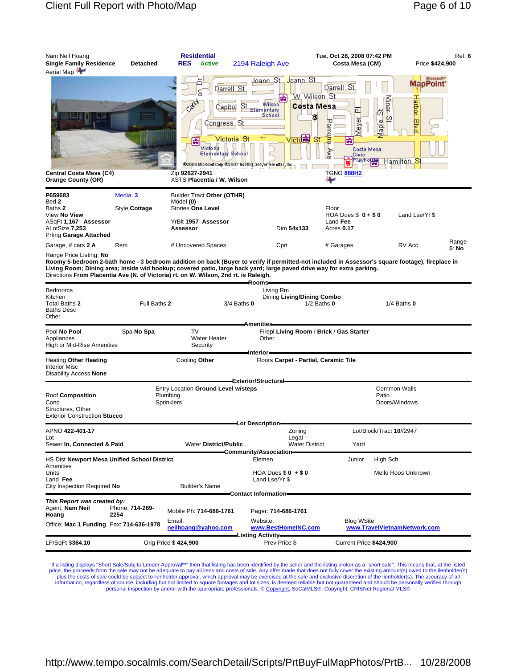| Nam Neil Hoang<br>Single Family Residence<br>Aerial Map                                                                             | <b>Detached</b>           | <b>Residential</b><br><b>RES</b><br><b>Active</b>                                                                    | 2194 Raleigh Ave                                                                                                                                                                              | Tue, Oct 28, 2008 07:42 PM<br>Costa Mesa (CM)                                                                                                                   | Ref: 6<br>Price \$424,900                                                                                                                       |
|-------------------------------------------------------------------------------------------------------------------------------------|---------------------------|----------------------------------------------------------------------------------------------------------------------|-----------------------------------------------------------------------------------------------------------------------------------------------------------------------------------------------|-----------------------------------------------------------------------------------------------------------------------------------------------------------------|-------------------------------------------------------------------------------------------------------------------------------------------------|
| Central Costa Mesa (C4)<br><b>Orange County (OR)</b>                                                                                |                           | Cali<br>Capitol<br>Congress St<br>₩<br>Victoria<br>Elementary School<br>Zip 92627-2941<br>XSTS Placentia / W. Wilson | Joann St<br>Joann_St_<br>Darrell St<br>歯<br>Wilson<br>S<br>Elementary<br>School<br><b>Victorial</b><br>Victoria <del>S</del> t<br>@2008 Microsoft Corp @2007 NAVTEQ, and /or Tele Atlas, Inc. | Darrell St<br><u>W. Wilson, St</u><br>Costa Mesa<br>௨<br>丙<br>\$,<br>Meyer<br>Pemon:<br>'St<br>Costa Mesa<br>Ave<br>Civic<br>Playhous<br><b>TGNO 888H2</b><br>₩ | Microsoft <sup>*</sup><br>MapPoint <sup>®</sup><br>γline⊬<br>arbot<br>₽<br>Maple<br>pka<br>Hamilton S                                           |
| P659683<br>Bed 2<br>Baths <b>2</b><br>View <b>No View</b><br>ASqFt 1,167 Assessor<br>ALotSize <b>7,253</b><br>Prkng Garage Attached | Media: 3<br>Style Cottage | Builder Tract Other (OTHR)<br>Model (0)<br><b>Stories One Level</b><br>YrBlt 1957 Assessor<br>Assessor               | Dim 54x133                                                                                                                                                                                    | Floor<br>HOA Dues $$0 + $0$<br>Land Fee<br>Acres 0.17                                                                                                           | Land Lse/Yr \$                                                                                                                                  |
| Garage, # cars 2 A<br>Range Price Listing: No                                                                                       | Rem                       | # Uncovered Spaces                                                                                                   | Cprt                                                                                                                                                                                          | # Garages                                                                                                                                                       | Range<br>RV Acc<br>\$: No                                                                                                                       |
| Directions From Placentia Ave (N. of Victoria) rt. on W. Wilson, 2nd rt. is Raleigh.                                                |                           |                                                                                                                      | Rooms-                                                                                                                                                                                        | Living Room; Dining area; inside w/d hookup; covered patio, large back yard; large paved drive way for extra parking.                                           | Roomy 5-bedroom 2-bath home - 3 bedroom addition on back (Buyer to verify if permitted-not included in Assessor's square footage), fireplace in |
| Bedrooms<br>Kitchen<br>Total Baths 2<br>Baths Desc<br>Other                                                                         | Full Baths 2              |                                                                                                                      | Living Rm<br>Dining Living/Dining Combo<br>$3/4$ Baths $0$                                                                                                                                    | $1/2$ Baths $0$                                                                                                                                                 | $1/4$ Baths $0$                                                                                                                                 |
| Pool <b>No Pool</b><br>Appliances<br>High or Mid-Rise Amenities                                                                     | Spa No Spa                | TV<br>Water Heater<br>Security                                                                                       | <b>Amenities</b><br>Other                                                                                                                                                                     | Firepl Living Room / Brick / Gas Starter                                                                                                                        |                                                                                                                                                 |
| Heating Other Heating<br>Interior Misc<br>Disability Access None                                                                    |                           | Cooling Other                                                                                                        | ∎nterior-                                                                                                                                                                                     | Floors Carpet - Partial, Ceramic Tile                                                                                                                           |                                                                                                                                                 |
| Roof Composition<br>Cond<br>Structures, Other<br><b>Exterior Construction Stucco</b>                                                |                           | Entry Location Ground Level w/steps<br>Plumbing<br>Sprinklers                                                        | <b>Exterior/Structural</b>                                                                                                                                                                    |                                                                                                                                                                 | <b>Common Walls</b><br>Patio<br>Doors/Windows                                                                                                   |
| APNO <b>422-401-17</b><br>Lot<br>Sewer In, Connected & Paid                                                                         |                           | <b>Water District/Public</b>                                                                                         | -Lot Description-<br>Zoning<br>Legal                                                                                                                                                          | <b>Water District</b><br>Yard                                                                                                                                   | Lot/Block/Tract 10//2947                                                                                                                        |
| HS Dist Newport Mesa Unified School District<br>Amenities<br>Units<br>Land Fee<br>City Inspection Required No                       |                           | <b>Builder's Name</b>                                                                                                | Community/Association-<br>Elemen<br>HOA Dues $$0 + $0$<br>Land Lse/Yr \$                                                                                                                      | Junior                                                                                                                                                          | High Sch<br>Mello Roos Unknown                                                                                                                  |
| This Report was created by:<br>Agent: <b>Nam Neil</b><br>Hoang<br>Office: Mac 1 Funding Fax: 714-636-1978                           | Phone: 714-289-<br>2254   | Mobile Ph: 714-686-1761<br>Email:<br>neilhoang@yahoo.com                                                             | -Contact Information-<br>Pager: 714-686-1761<br>Website:<br>www.BestHomeINC.com<br>-Listing Activity—                                                                                         | <b>Blog WSite</b>                                                                                                                                               | www.TravelVietnamNetwork.com                                                                                                                    |
| LP/SqFt \$364.10                                                                                                                    |                           | Orig Price \$424,900                                                                                                 | Prev Price \$                                                                                                                                                                                 | Current Price \$424,900                                                                                                                                         |                                                                                                                                                 |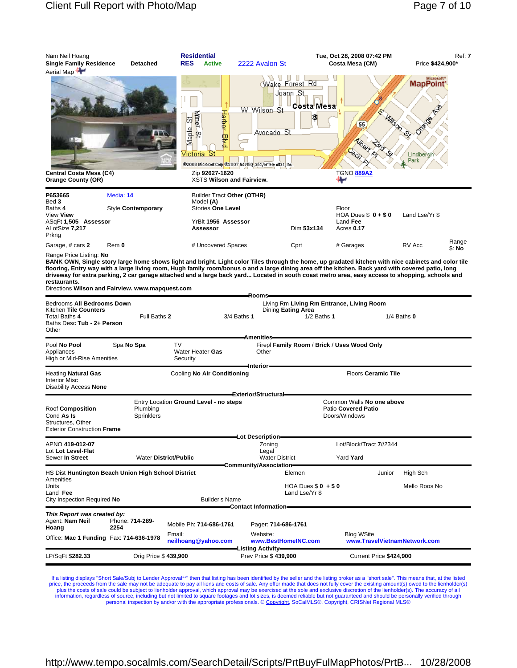| Nam Neil Hoang<br><b>Single Family Residence</b><br>Aerial Map                                                                                                      |            | Detached                     | <b>Residential</b><br><b>RES</b><br><b>Active</b>                                                                                                                                                                                                                                                                                                                                                                                                            | 2222 Avalon St                                                                                   |                                                                                            | Tue, Oct 28, 2008 07:42 PM<br>Costa Mesa (CM)                     |        | Price \$424,900*                     | Ref: 7          |
|---------------------------------------------------------------------------------------------------------------------------------------------------------------------|------------|------------------------------|--------------------------------------------------------------------------------------------------------------------------------------------------------------------------------------------------------------------------------------------------------------------------------------------------------------------------------------------------------------------------------------------------------------------------------------------------------------|--------------------------------------------------------------------------------------------------|--------------------------------------------------------------------------------------------|-------------------------------------------------------------------|--------|--------------------------------------|-----------------|
| Central Costa Mesa (C4)<br><b>Orange County (OR)</b>                                                                                                                |            |                              | Harber<br><b>Miner</b><br>65<br>Maple<br>¢<br>쁗<br>√ictorial<br>Zip 92627-1620<br>XSTS Wilson and Fairview.                                                                                                                                                                                                                                                                                                                                                  | W Wilson St<br><u> Avocado St</u><br>@2008 Microsoft Corp @2007 NAVTEQ, and for Tele Atlas, Inc. | $\sqrt{2}$ $\sqrt{1}$ $\sqrt{1}$ $\sqrt{1}$<br>Wake Forest Rd<br>Joann "St.,<br>Costa Mesa | 55<br><b>HORY</b><br><b>TGNO 889A2</b><br>₩                       | MASON  | <b>MapPoint</b><br>Lindbergh<br>Park |                 |
| P653665<br>Bed 3                                                                                                                                                    | Media: 14  |                              | Builder Tract Other (OTHR)                                                                                                                                                                                                                                                                                                                                                                                                                                   |                                                                                                  |                                                                                            |                                                                   |        |                                      |                 |
| Baths <b>4</b>                                                                                                                                                      |            | Style Contemporary           | Model (A)<br>Stories One Level                                                                                                                                                                                                                                                                                                                                                                                                                               |                                                                                                  |                                                                                            | Floor                                                             |        |                                      |                 |
| View <b>View</b><br>ASqFt 1,505 Assessor<br>ALotSize 7,217<br>Prkng                                                                                                 |            |                              | YrBlt 1956 Assessor<br>Assessor                                                                                                                                                                                                                                                                                                                                                                                                                              |                                                                                                  | Dim 53x134                                                                                 | HOA Dues $$0 + $0$<br>Land Fee<br>Acres 0.17                      |        | Land Lse/Yr \$                       |                 |
| Garage, # cars 2                                                                                                                                                    | Rem 0      |                              | # Uncovered Spaces                                                                                                                                                                                                                                                                                                                                                                                                                                           |                                                                                                  | Cprt                                                                                       | # Garages                                                         |        | RV Acc                               | Range<br>\$: No |
| Range Price Listing: No<br>restaurants.<br>Directions Wilson and Fairview. www.mapquest.com<br>Bedrooms All Bedrooms Down<br>Kitchen Tile Counters<br>Total Baths 4 |            | Full Baths 2                 | BANK OWN, Single story large home shows light and bright. Light color Tiles through the home, up gradated kitchen with nice cabinets and color tile<br>flooring, Entry way with a large living room, Hugh family room/bonus o and a large dining area off the kitchen. Back yard with covered patio, long<br>driveway for extra parking, 2 car garage attached and a large back yard Located in south coast metro area, easy access to shopping, schools and | Rooms-<br>3/4 Baths 1                                                                            | Dining Eating Area<br>$1/2$ Baths 1                                                        | Living Rm Living Rm Entrance, Living Room                         |        | $1/4$ Baths $0$                      |                 |
| Baths Desc Tub - 2+ Person<br>Other                                                                                                                                 |            |                              |                                                                                                                                                                                                                                                                                                                                                                                                                                                              |                                                                                                  |                                                                                            |                                                                   |        |                                      |                 |
| Pool <b>No Pool</b><br>Appliances<br>High or Mid-Rise Amenities                                                                                                     | Spa No Spa |                              | TV<br>Water Heater Gas<br>Security                                                                                                                                                                                                                                                                                                                                                                                                                           | <b>Amenities</b><br>Other<br>–Interior–                                                          |                                                                                            | Firepl Family Room / Brick / Uses Wood Only                       |        |                                      |                 |
| Heating <b>Natural Gas</b><br><b>Interior Misc</b><br>Disability Access <b>None</b>                                                                                 |            |                              | Cooling No Air Conditioning                                                                                                                                                                                                                                                                                                                                                                                                                                  |                                                                                                  |                                                                                            | <b>Floors Ceramic Tile</b>                                        |        |                                      |                 |
| Roof Composition<br>Cond <b>As Is</b><br>Structures, Other<br><b>Exterior Construction Frame</b>                                                                    |            | Plumbing<br>Sprinklers       | Entry Location Ground Level - no steps                                                                                                                                                                                                                                                                                                                                                                                                                       | Exterior/Structural=                                                                             |                                                                                            | Common Walls No one above<br>Patio Covered Patio<br>Doors/Windows |        |                                      |                 |
| APNO 419-012-07                                                                                                                                                     |            |                              |                                                                                                                                                                                                                                                                                                                                                                                                                                                              | Lot Description=<br>Zoning                                                                       |                                                                                            | Lot/Block/Tract 7//2344                                           |        |                                      |                 |
| Lot Lot Level-Flat<br>Sewer In Street                                                                                                                               |            | <b>Water District/Public</b> |                                                                                                                                                                                                                                                                                                                                                                                                                                                              | Legal<br><b>Water District</b>                                                                   |                                                                                            | Yard Yard                                                         |        |                                      |                 |
| HS Dist Huntington Beach Union High School District                                                                                                                 |            |                              |                                                                                                                                                                                                                                                                                                                                                                                                                                                              | Community/Association                                                                            | Elemen                                                                                     |                                                                   | Junior | High Sch                             |                 |
| Amenities<br>Units<br>Land Fee                                                                                                                                      |            |                              |                                                                                                                                                                                                                                                                                                                                                                                                                                                              |                                                                                                  | HOA Dues $$0 + $0$<br>Land Lse/Yr \$                                                       |                                                                   |        | Mello Roos No                        |                 |
| City Inspection Required No                                                                                                                                         |            |                              | <b>Builder's Name</b>                                                                                                                                                                                                                                                                                                                                                                                                                                        |                                                                                                  |                                                                                            |                                                                   |        |                                      |                 |
| This Report was created by:<br>Agent: Nam Neil<br>Hoang                                                                                                             | 2254       | Phone: 714-289-              | Mobile Ph: 714-686-1761                                                                                                                                                                                                                                                                                                                                                                                                                                      | -Contact Information-<br>Pager: 714-686-1761                                                     |                                                                                            |                                                                   |        |                                      |                 |
| Office: Mac 1 Funding Fax: 714-636-1978                                                                                                                             |            |                              | Email:<br>neilhoang@yahoo.com                                                                                                                                                                                                                                                                                                                                                                                                                                | Website:<br>www.BestHomeINC.com                                                                  |                                                                                            | <b>Blog WSite</b>                                                 |        | www.TravelVietnamNetwork.com         |                 |
| LP/SqFt \$282.33                                                                                                                                                    |            | Orig Price \$439,900         |                                                                                                                                                                                                                                                                                                                                                                                                                                                              | -Listing Activity—<br>Prev Price \$439,900                                                       |                                                                                            | Current Price \$424,900                                           |        |                                      |                 |
|                                                                                                                                                                     |            |                              |                                                                                                                                                                                                                                                                                                                                                                                                                                                              |                                                                                                  |                                                                                            |                                                                   |        |                                      |                 |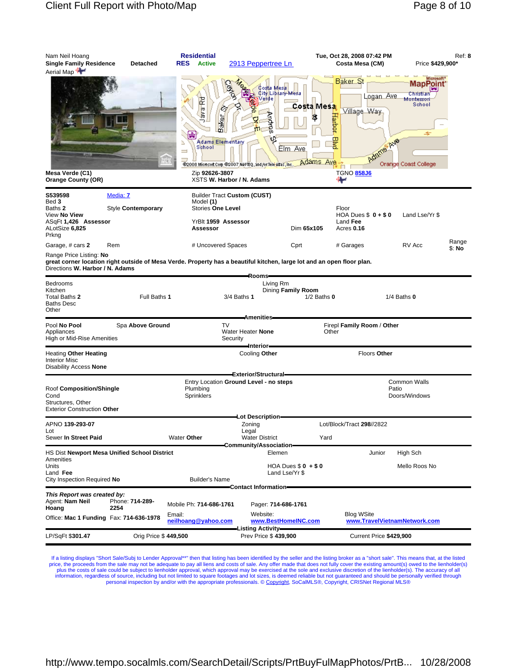| Nam Neil Hoang<br><b>Single Family Residence</b><br>Aerial Map                                                                                                                              | Detached                | <b>Residential</b><br><b>RES</b><br><b>Active</b>                                         | 2913 Peppertree Ln                                                                                                                                   |                                         | Tue, Oct 28, 2008 07:42 PM<br>Costa Mesa (CM)                                                                         | Price \$429,900*                                   | Ref: 8          |
|---------------------------------------------------------------------------------------------------------------------------------------------------------------------------------------------|-------------------------|-------------------------------------------------------------------------------------------|------------------------------------------------------------------------------------------------------------------------------------------------------|-----------------------------------------|-----------------------------------------------------------------------------------------------------------------------|----------------------------------------------------|-----------------|
| Mesa Verde (C1)<br><b>Orange County (OR)</b>                                                                                                                                                |                         | ava Rd<br>aker<br>m<br>喦<br>Adams Elementary<br>P<br>School<br>$\equiv$<br>Zip 92626-3807 | Costa Mesa<br>City Library-Mesa<br>erde<br><b>Andres</b><br>@2008 Microsoft Corp @2007 NAVTEQ, and /or Tele Atlas, Inc.<br>XSTS W. Harbor / N. Adams | Costa Mesa<br>Ş<br>Elm Ave<br>Adams Ave | Baker <sub>S</sub><br>Logan Ave<br>Village Way<br>Harbor<br>胃<br><b>TTP AVB</b><br><b>TGNO 858J6</b><br><sub>⊕⊯</sub> | nt<br>Montessori<br>School<br>Orange Coast College |                 |
| S539598                                                                                                                                                                                     | Media: 7                |                                                                                           | Builder Tract Custom (CUST)                                                                                                                          |                                         |                                                                                                                       |                                                    |                 |
| Bed 3<br>Baths 2<br>View No View<br>ASqFt 1,426 Assessor<br>ALotSize 6,825<br>Prkng                                                                                                         | Style Contemporary      | Model (1)<br><b>Stories One Level</b><br>YrBlt 1959 Assessor<br>Assessor                  |                                                                                                                                                      | Dim 65x105                              | Floor<br>HOA Dues $$0 + $0$<br>Land Fee<br>Acres 0.16                                                                 | Land Lse/Yr \$                                     |                 |
| Garage, # cars 2                                                                                                                                                                            | Rem                     | # Uncovered Spaces                                                                        |                                                                                                                                                      | Cprt                                    | # Garages                                                                                                             | RV Acc                                             | Range<br>\$: No |
| Range Price Listing: <b>No</b><br>great corner location right outside of Mesa Verde. Property has a beautiful kitchen, large lot and an open floor plan.<br>Directions W. Harbor / N. Adams |                         |                                                                                           |                                                                                                                                                      |                                         |                                                                                                                       |                                                    |                 |
| Bedrooms<br>Kitchen<br>Total Baths 2<br>Baths Desc<br>Other                                                                                                                                 | Full Baths 1            |                                                                                           | -Rooms—<br>Living Rm<br>3/4 Baths 1                                                                                                                  | Dining Family Room<br>$1/2$ Baths $0$   |                                                                                                                       | $1/4$ Baths $0$                                    |                 |
| Pool No Pool<br>Appliances<br>High or Mid-Rise Amenities                                                                                                                                    | Spa Above Ground        | TV                                                                                        | <b>Amenities</b><br>Water Heater None<br>Security                                                                                                    |                                         | Firepl Family Room / Other<br>Other                                                                                   |                                                    |                 |
| Heating Other Heating<br><b>Interior Misc</b><br>Disability Access None                                                                                                                     |                         |                                                                                           | -Interior-<br>Cooling Other                                                                                                                          |                                         | Floors Other                                                                                                          |                                                    |                 |
|                                                                                                                                                                                             |                         |                                                                                           | Exterior/Structural-<br>Entry Location Ground Level - no steps                                                                                       |                                         |                                                                                                                       | <b>Common Walls</b>                                |                 |
| Roof Composition/Shingle<br>Cond<br>Structures, Other<br><b>Exterior Construction Other</b>                                                                                                 |                         | Plumbing<br><b>Sprinklers</b>                                                             |                                                                                                                                                      |                                         |                                                                                                                       | Patio<br>Doors/Windows                             |                 |
| APNO <b>139-293-07</b>                                                                                                                                                                      |                         |                                                                                           | Lot Description=<br>Zoning                                                                                                                           |                                         | Lot/Block/Tract 298//2822                                                                                             |                                                    |                 |
| Lot<br>Sewer In Street Paid                                                                                                                                                                 |                         | Water Other                                                                               | Legal<br><b>Water District</b><br>Community/Association=                                                                                             | Yard                                    |                                                                                                                       |                                                    |                 |
| HS Dist Newport Mesa Unified School District                                                                                                                                                |                         |                                                                                           | Elemen                                                                                                                                               |                                         | Junior                                                                                                                | High Sch                                           |                 |
| Amenities<br>Units<br>Land Fee<br>City Inspection Required No                                                                                                                               |                         | <b>Builder's Name</b>                                                                     |                                                                                                                                                      | HOA Dues $$0 + $0$<br>Land Lse/Yr \$    |                                                                                                                       | Mello Roos No                                      |                 |
|                                                                                                                                                                                             |                         |                                                                                           | Contact Information=                                                                                                                                 |                                         |                                                                                                                       |                                                    |                 |
| This Report was created by:<br>Agent: Nam Neil<br>Hoang                                                                                                                                     | Phone: 714-289-<br>2254 | Mobile Ph: 714-686-1761                                                                   | Pager: 714-686-1761                                                                                                                                  |                                         |                                                                                                                       |                                                    |                 |
| Office: Mac 1 Funding Fax: 714-636-1978                                                                                                                                                     |                         | Email:<br>neilhoang@yahoo.com                                                             | Website:                                                                                                                                             | www.BestHomeINC.com                     | <b>Blog WSite</b>                                                                                                     | www.TravelVietnamNetwork.com                       |                 |
| LP/SqFt \$301.47                                                                                                                                                                            | Orig Price \$449,500    |                                                                                           | <b>Listing Activity-</b><br>Prev Price \$439,900                                                                                                     |                                         | Current Price \$429,900                                                                                               |                                                    |                 |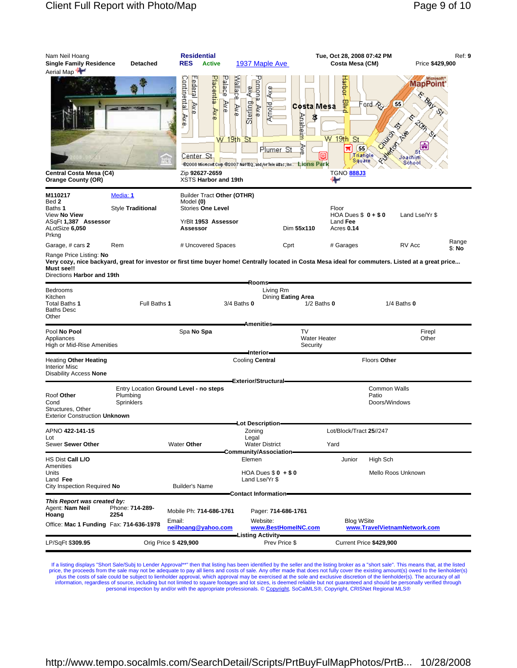| Nam Neil Hoang<br><b>Single Family Residence</b><br>Aerial Map <sup>†</sup>                                 | Detached                                                         | <b>Residential</b><br><b>RES</b><br><b>Active</b>                                                                                              | 1937 Maple Ave                                                                                                                                                   | Tue, Oct 28, 2008 07:42 PM<br>Costa Mesa (CM)                                                                         | Price \$429,900                                                                                                                                                        | Ref: 9          |
|-------------------------------------------------------------------------------------------------------------|------------------------------------------------------------------|------------------------------------------------------------------------------------------------------------------------------------------------|------------------------------------------------------------------------------------------------------------------------------------------------------------------|-----------------------------------------------------------------------------------------------------------------------|------------------------------------------------------------------------------------------------------------------------------------------------------------------------|-----------------|
| Central Costa Mesa (C4)<br><b>Orange County (OR)</b>                                                        |                                                                  | Continental Ave<br>Placentia Ave<br><b>Palace</b><br>Federal Ave<br>Ave<br>$W$ 19th St<br>Center St.<br>Zip 92627-2659<br>XSTS Harbor and 19th | Wallace<br>enomo <sup>1</sup><br>Aye<br>Sterling<br>Arnold<br>Ave<br>Ave<br>Plumer St<br>@2008 Microsoft Corp @2007 NAVTEQ, and /or Tele Atlas ; Inc. Ligns Park | Hadqist<br>礜<br>Costa Mesa<br>Anaheim<br>\$<br>$W$ 19th St<br>Š<br>55<br>Ħ<br>Triangle<br>Sguare<br><b>TGNO 888J3</b> | Microsoft <sup>*</sup><br><b>MapPoint</b><br>Ford Por<br>55<br>Children<br>r G<br>FUNCTION<br> 曲<br>Joachim<br>School                                                  |                 |
| M110217                                                                                                     | Media: 1                                                         | Builder Tract Other (OTHR)                                                                                                                     |                                                                                                                                                                  |                                                                                                                       |                                                                                                                                                                        |                 |
| Bed 2<br>Baths 1                                                                                            | Style Traditional                                                | Model (0)<br><b>Stories One Level</b>                                                                                                          |                                                                                                                                                                  | Floor                                                                                                                 |                                                                                                                                                                        |                 |
| View No View<br>ASqFt 1,387 Assessor<br>ALotSize 6,050<br>Prkng                                             |                                                                  | YrBlt 1953 Assessor<br>Assessor                                                                                                                | Dim 55x110                                                                                                                                                       | HOA Dues $$0 + $0$<br>Land Fee<br>Acres 0.14                                                                          | Land Lse/Yr \$                                                                                                                                                         |                 |
| Garage, # cars 2                                                                                            | Rem                                                              | # Uncovered Spaces                                                                                                                             | Cprt                                                                                                                                                             | # Garages                                                                                                             | RV Acc                                                                                                                                                                 | Range<br>\$: No |
| Range Price Listing: No<br>Must see!!<br>Directions Harbor and 19th<br>Bedrooms<br>Kitchen<br>Total Baths 1 | Full Baths 1                                                     |                                                                                                                                                | Rooms-<br>Living Rm<br>Dining Eating Area<br>$3/4$ Baths $0$                                                                                                     | $1/2$ Baths $0$                                                                                                       | Very cozy, nice backyard, great for investor or first time buyer home! Centrally located in Costa Mesa ideal for commuters. Listed at a great price<br>$1/4$ Baths $0$ |                 |
| Baths Desc<br>Other                                                                                         |                                                                  |                                                                                                                                                | <b>Amenities</b>                                                                                                                                                 |                                                                                                                       |                                                                                                                                                                        |                 |
| Pool No Pool<br>Appliances<br>High or Mid-Rise Amenities                                                    |                                                                  | Spa No Spa                                                                                                                                     |                                                                                                                                                                  | TV<br><b>Water Heater</b><br>Security                                                                                 | Firepl<br>Other                                                                                                                                                        |                 |
| Heating Other Heating<br>Interior Misc<br>Disability Access None                                            |                                                                  |                                                                                                                                                | ∎nterior=<br>Cooling Central                                                                                                                                     |                                                                                                                       | Floors Other                                                                                                                                                           |                 |
| Roof Other<br>Cond<br>Structures, Other<br><b>Exterior Construction Unknown</b>                             | Entry Location Ground Level - no steps<br>Plumbing<br>Sprinklers |                                                                                                                                                | Exterior/Structural=                                                                                                                                             |                                                                                                                       | <b>Common Walls</b><br>Patio<br>Doors/Windows                                                                                                                          |                 |
| APNO 422-141-15                                                                                             |                                                                  |                                                                                                                                                | —Lot Description—<br>Zoning                                                                                                                                      | Lot/Block/Tract 25//247                                                                                               |                                                                                                                                                                        |                 |
| Lot<br>Sewer Sewer Other                                                                                    |                                                                  | Water Other                                                                                                                                    | Legal<br><b>Water District</b><br>Community/Association-                                                                                                         | Yard                                                                                                                  |                                                                                                                                                                        |                 |
| HS Dist <b>Call L/O</b>                                                                                     |                                                                  |                                                                                                                                                | Elemen                                                                                                                                                           | Junior                                                                                                                | High Sch                                                                                                                                                               |                 |
| Amenities<br>Units<br>Land Fee<br>City Inspection Required No                                               |                                                                  | <b>Builder's Name</b>                                                                                                                          | HOA Dues $$0 + $0$<br>Land Lse/Yr \$                                                                                                                             |                                                                                                                       | Mello Roos Unknown                                                                                                                                                     |                 |
| This Report was created by:<br>Agent: Nam Neil<br>Hoang                                                     | Phone: 714-289-<br>2254                                          | Mobile Ph: 714-686-1761<br>Email:                                                                                                              | Contact Information=<br>Pager: 714-686-1761<br>Website:                                                                                                          |                                                                                                                       |                                                                                                                                                                        |                 |
| Office: Mac 1 Funding Fax: 714-636-1978                                                                     |                                                                  | neilhoang@yahoo.com                                                                                                                            | www.BestHomeINC.com                                                                                                                                              | <b>Blog WSite</b>                                                                                                     | www.TravelVietnamNetwork.com                                                                                                                                           |                 |
| LP/SqFt \$309.95                                                                                            | Orig Price \$429,900                                             |                                                                                                                                                | -Listing Activity-<br>Prev Price \$                                                                                                                              |                                                                                                                       | Current Price \$429,900                                                                                                                                                |                 |